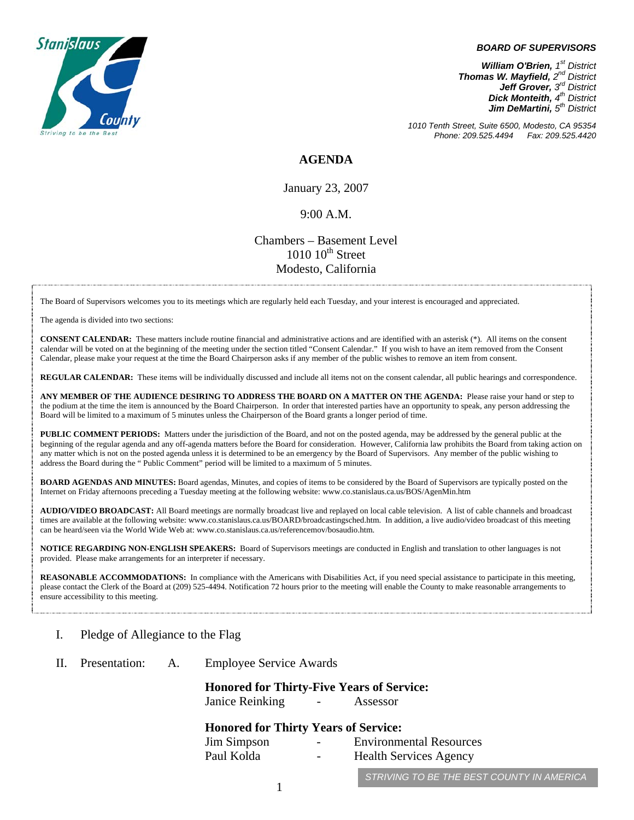

#### *BOARD OF SUPERVISORS*

*William O'Brien, 1<sup>st</sup> District Thomas W. Mayfield, 2nd District Jeff Grover, 3rd District Dick Monteith, 4th District Jim DeMartini, 5th District*

*1010 Tenth Street, Suite 6500, Modesto, CA 95354 Phone: 209.525.4494* 

### **AGENDA**

January 23, 2007

#### 9:00 A.M.

## Chambers – Basement Level  $1010$   $10^{th}$  Street Modesto, California

The Board of Supervisors welcomes you to its meetings which are regularly held each Tuesday, and your interest is encouraged and appreciated.

The agenda is divided into two sections:

**CONSENT CALENDAR:** These matters include routine financial and administrative actions and are identified with an asterisk (\*). All items on the consent calendar will be voted on at the beginning of the meeting under the section titled "Consent Calendar." If you wish to have an item removed from the Consent Calendar, please make your request at the time the Board Chairperson asks if any member of the public wishes to remove an item from consent.

**REGULAR CALENDAR:** These items will be individually discussed and include all items not on the consent calendar, all public hearings and correspondence.

**ANY MEMBER OF THE AUDIENCE DESIRING TO ADDRESS THE BOARD ON A MATTER ON THE AGENDA:** Please raise your hand or step to the podium at the time the item is announced by the Board Chairperson. In order that interested parties have an opportunity to speak, any person addressing the Board will be limited to a maximum of 5 minutes unless the Chairperson of the Board grants a longer period of time.

**PUBLIC COMMENT PERIODS:** Matters under the jurisdiction of the Board, and not on the posted agenda, may be addressed by the general public at the beginning of the regular agenda and any off-agenda matters before the Board for consideration. However, California law prohibits the Board from taking action on any matter which is not on the posted agenda unless it is determined to be an emergency by the Board of Supervisors. Any member of the public wishing to address the Board during the " Public Comment" period will be limited to a maximum of 5 minutes.

**BOARD AGENDAS AND MINUTES:** Board agendas, Minutes, and copies of items to be considered by the Board of Supervisors are typically posted on the Internet on Friday afternoons preceding a Tuesday meeting at the following website: [www.co.stanislaus.ca.us/BOS/AgenMin.htm](http://www.co.stanislaus.ca.us/BOS/AgenMin.htm) 

**AUDIO/VIDEO BROADCAST:** All Board meetings are normally broadcast live and replayed on local cable television. A list of cable channels and broadcast times are available at the following website: [www.co.stanislaus.ca.us/BOARD/broadcastingsched.htm](http://www.co.stanislaus.ca.us/BOARD/broadcastingsched.htm). In addition, a live audio/video broadcast of this meeting can be heard/seen via the World Wide Web at: [www.co.stanislaus.ca.us/referencemov/bosaudio.htm.](http://www.co.stanislaus.ca.us/referencemov/bosaudio.htm)

**NOTICE REGARDING NON-ENGLISH SPEAKERS:** Board of Supervisors meetings are conducted in English and translation to other languages is not provided. Please make arrangements for an interpreter if necessary.

REASONABLE ACCOMMODATIONS: In compliance with the Americans with Disabilities Act, if you need special assistance to participate in this meeting, please contact the Clerk of the Board at (209) 525-4494. Notification 72 hours prior to the meeting will enable the County to make reasonable arrangements to ensure accessibility to this meeting.

#### I. Pledge of Allegiance to the Flag

II. Presentation: A. Employee Service Awards

**Honored for Thirty-Five Years of Service:** 

Janice Reinking - Assessor

#### **Honored for Thirty Years of Service:**

| Jim Simpson | $\sim$ $\sim$ | <b>Environmental Resources</b> |
|-------------|---------------|--------------------------------|
| Paul Kolda  | $\sim$        | <b>Health Services Agency</b>  |
|             |               |                                |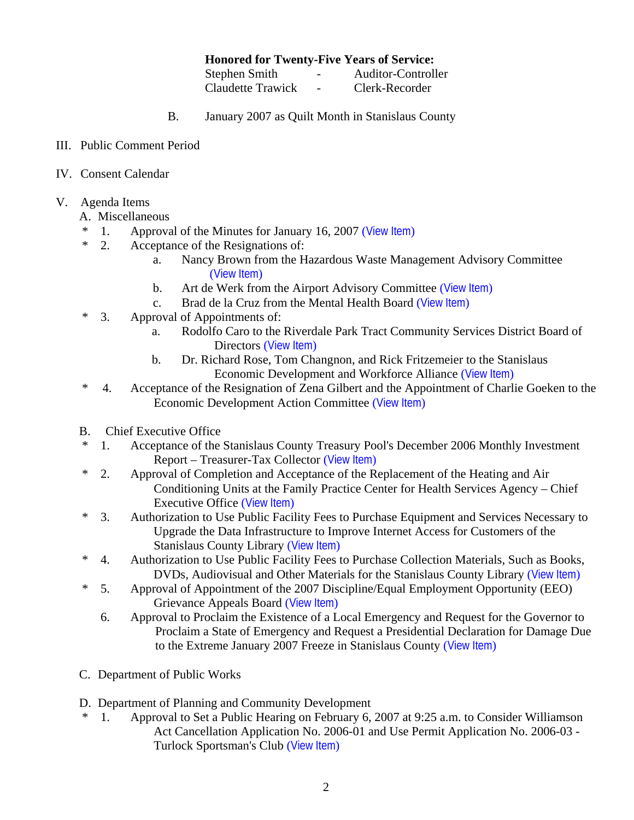## **Honored for Twenty-Five Years of Service:**

| Stephen Smith     | $\overline{\phantom{0}}$ | Auditor-Controller |
|-------------------|--------------------------|--------------------|
| Claudette Trawick | $\overline{\phantom{a}}$ | Clerk-Recorder     |

- B. January 2007 as Quilt Month in Stanislaus County
- III. Public Comment Period
- IV. Consent Calendar
- V. Agenda Items
	- A. Miscellaneous
	- \* 1. Approval of the Minutes for January 16, 2007 ([View Item](http://www.co.stanislaus.ca.us/BOS/MINUTES/2007/min01-16-07.pdf))
	- \* 2. Acceptance of the Resignations of:
		- a. Nancy Brown from the Hazardous Waste Management Advisory Committee ([View Item](http://www.co.stanislaus.ca.us/BOS/Agenda/2007/20070123/A02a.pdf))
		- b. Art de Werk from the Airport Advisory Committee ([View Item](http://www.co.stanislaus.ca.us/BOS/Agenda/2007/20070123/A02b.pdf))
		- c. Brad de la Cruz from the Mental Health Board ([View Item](http://www.co.stanislaus.ca.us/BOS/Agenda/2007/20070123/A02c.pdf))
	- \* 3. Approval of Appointments of:
		- a. Rodolfo Caro to the Riverdale Park Tract Community Services District Board of Directors ([View Item](http://www.co.stanislaus.ca.us/BOS/Agenda/2007/20070123/A03a.pdf))
		- b. Dr. Richard Rose, Tom Changnon, and Rick Fritzemeier to the Stanislaus Economic Development and Workforce Alliance ([View Item](http://www.co.stanislaus.ca.us/BOS/Agenda/2007/20070123/A03b.pdf))
	- \* 4. Acceptance of the Resignation of Zena Gilbert and the Appointment of Charlie Goeken to the Economic Development Action Committee ([View Item](http://www.co.stanislaus.ca.us/BOS/Agenda/2007/20070123/A04.pdf))
	- B. Chief Executive Office
	- \* 1. Acceptance of the Stanislaus County Treasury Pool's December 2006 Monthly Investment Report – Treasurer-Tax Collector ([View Item](http://www.co.stanislaus.ca.us/BOS/Agenda/2007/20070123/B01.pdf))
	- \* 2. Approval of Completion and Acceptance of the Replacement of the Heating and Air Conditioning Units at the Family Practice Center for Health Services Agency – Chief Executive Office ([View Item](http://www.co.stanislaus.ca.us/BOS/Agenda/2007/20070123/B02.pdf))
	- \* 3. Authorization to Use Public Facility Fees to Purchase Equipment and Services Necessary to Upgrade the Data Infrastructure to Improve Internet Access for Customers of the Stanislaus County Library ([View Item](http://www.co.stanislaus.ca.us/BOS/Agenda/2007/20070123/B03.pdf))
	- \* 4. Authorization to Use Public Facility Fees to Purchase Collection Materials, Such as Books, DVDs, Audiovisual and Other Materials for the Stanislaus County Library ([View Item](http://www.co.stanislaus.ca.us/BOS/Agenda/2007/20070123/B04.pdf))
	- \* 5. Approval of Appointment of the 2007 Discipline/Equal Employment Opportunity (EEO) Grievance Appeals Board ([View Item](http://www.co.stanislaus.ca.us/BOS/Agenda/2007/20070123/B05.pdf))
		- 6. Approval to Proclaim the Existence of a Local Emergency and Request for the Governor to Proclaim a State of Emergency and Request a Presidential Declaration for Damage Due to the Extreme January 2007 Freeze in Stanislaus County ([View Item](http://www.co.stanislaus.ca.us/BOS/Agenda/2007/20070123/B06.pdf))
	- C. Department of Public Works
	- D. Department of Planning and Community Development
	- 1. Approval to Set a Public Hearing on February 6, 2007 at 9:25 a.m. to Consider Williamson Act Cancellation Application No. 2006-01 and Use Permit Application No. 2006-03 - Turlock Sportsman's Club ([View Item](http://www.co.stanislaus.ca.us/BOS/Agenda/2007/20070123/D01.pdf))